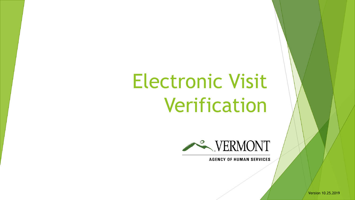# Electronic Visit Verification



**AGENCY OF HUMAN SERVICES** 

Version 10.25.2019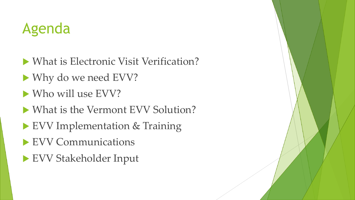## Agenda

- What is Electronic Visit Verification?
- ▶ Why do we need EVV?
- Who will use EVV?
- What is the Vermont EVV Solution?
- ▶ EVV Implementation & Training
- EVV Communications
- EVV Stakeholder Input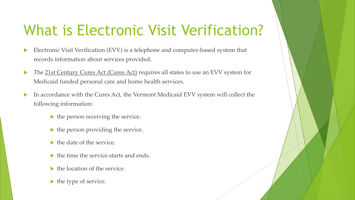# What is Electronic Visit Verification?

- Electronic Visit Verification (EVV) is a telephone and computer-based system that records information about services provided.
- The 21st Century Cures Act (Cures Act) requires all states to use an EVV system for Medicaid funded personal care and home health services.
- In accordance with the Cures Act, the Vermont Medicaid EVV system will collect the following information:
	- $\blacktriangleright$  the person receiving the service.
	- $\blacktriangleright$  the person providing the service.
	- $\blacktriangleright$  the date of the service.
	- $\blacktriangleright$  the time the service starts and ends.
	- $\blacktriangleright$  the location of the service.
	- $\blacktriangleright$  the type of service.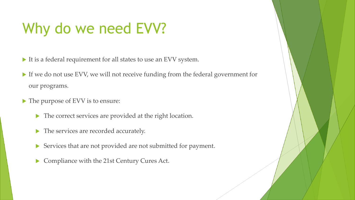# Why do we need EVV?

- It is a federal requirement for all states to use an EVV system.
- If we do not use EVV, we will not receive funding from the federal government for our programs.
- ▶ The purpose of EVV is to ensure:
	- The correct services are provided at the right location.
	- The services are recorded accurately.
	- Services that are not provided are not submitted for payment.
	- Compliance with the 21st Century Cures Act.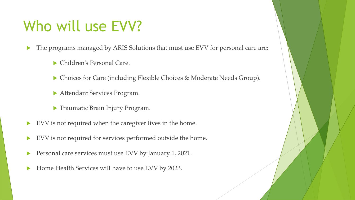## Who will use EVV?

The programs managed by ARIS Solutions that must use EVV for personal care are:

- Children's Personal Care.
- ▶ Choices for Care (including Flexible Choices & Moderate Needs Group).
- Attendant Services Program.
- ▶ Traumatic Brain Injury Program.
- EVV is not required when the caregiver lives in the home.
- EVV is not required for services performed outside the home.
- Personal care services must use EVV by January 1, 2021.
- Home Health Services will have to use EVV by 2023.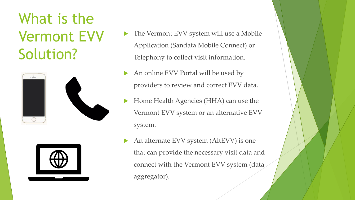What is the Vermont EVV Solution?





- The Vermont EVV system will use a Mobile Application (Sandata Mobile Connect) or Telephony to collect visit information.
- An online EVV Portal will be used by providers to review and correct EVV data.
- Home Health Agencies (HHA) can use the Vermont EVV system or an alternative EVV system.
- An alternate EVV system (AltEVV) is one that can provide the necessary visit data and connect with the Vermont EVV system (data aggregator).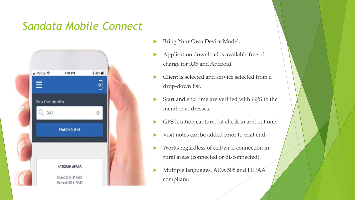#### *Sandata Mobile Connect*



- Bring Your Own Device Model.
- Application download is available free of charge for iOS and Android.
- ▶ Client is selected and service selected from a drop-down list.
- Start and end time are verified with GPS to the member addresses.
- GPS location captured at check in and out only.
- Visit notes can be added prior to visit end.
- Works regardless of cell/wi-fi connection in rural areas (connected or disconnected).
- Multiple languages, ADA 508 and HIPAA compliant.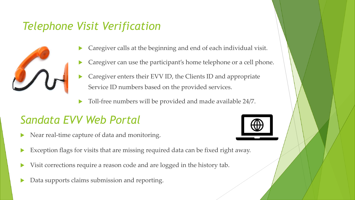#### *Telephone Visit Verification*



- Caregiver calls at the beginning and end of each individual visit.
- Caregiver can use the participant's home telephone or a cell phone.
- Caregiver enters their EVV ID, the Clients ID and appropriate Service ID numbers based on the provided services.
- Toll-free numbers will be provided and made available 24/7.

#### *Sandata EVV Web Portal*



- Near real-time capture of data and monitoring.
- Exception flags for visits that are missing required data can be fixed right away.
- Visit corrections require a reason code and are logged in the history tab.
- Data supports claims submission and reporting.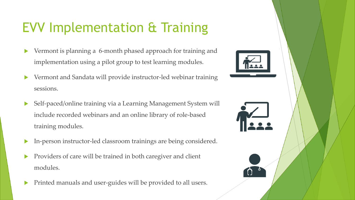### EVV Implementation & Training

- Vermont is planning a 6-month phased approach for training and implementation using a pilot group to test learning modules.
- Vermont and Sandata will provide instructor-led webinar training sessions.
- Self-paced/online training via a Learning Management System will include recorded webinars and an online library of role-based training modules.
- In-person instructor-led classroom trainings are being considered.
- Providers of care will be trained in both caregiver and client modules.
- Printed manuals and user-guides will be provided to all users.



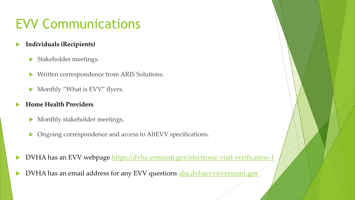#### EVV Communications

- **Individuals (Recipients)**
	- Stakeholder meetings.
	- Written correspondence from ARIS Solutions.
	- Monthly "What is EVV" flyers.
- **Home Health Providers**
	- Monthly stakeholder meetings.
	- Ongoing correspondence and access to AltEVV specifications.
- DVHA has an EVV webpage<https://dvha.vermont.gov/electronic-visit-verification-1>
- DVHA has an email address for any EVV questions [ahs.dvhaevv@vermont.gov](mailto:ahs.dvhaevv@vermont.gov?subject=Electronic%20Visit%20Verification%20)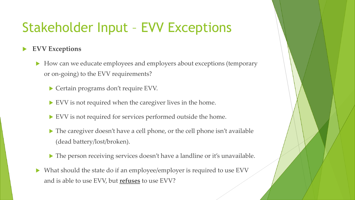#### Stakeholder Input – EVV Exceptions

**EVV Exceptions**

- How can we educate employees and employers about exceptions (temporary or on-going) to the EVV requirements?
	- ▶ Certain programs don't require EVV.
	- EVV is not required when the caregiver lives in the home.
	- EVV is not required for services performed outside the home.
	- The caregiver doesn't have a cell phone, or the cell phone isn't available (dead battery/lost/broken).
	- The person receiving services doesn't have a landline or it's unavailable.
- What should the state do if an employee/employer is required to use EVV and is able to use EVV, but **refuses** to use EVV?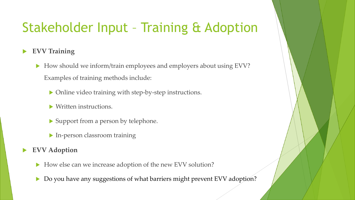#### Stakeholder Input – Training & Adoption

#### **EVV Training**

- How should we inform/train employees and employers about using EVV? Examples of training methods include:
	- Online video training with step-by-step instructions.
	- Written instructions.
	- ▶ Support from a person by telephone.
	- In-person classroom training

#### **EVV Adoption**

- How else can we increase adoption of the new EVV solution?
- Do you have any suggestions of what barriers might prevent EVV adoption?